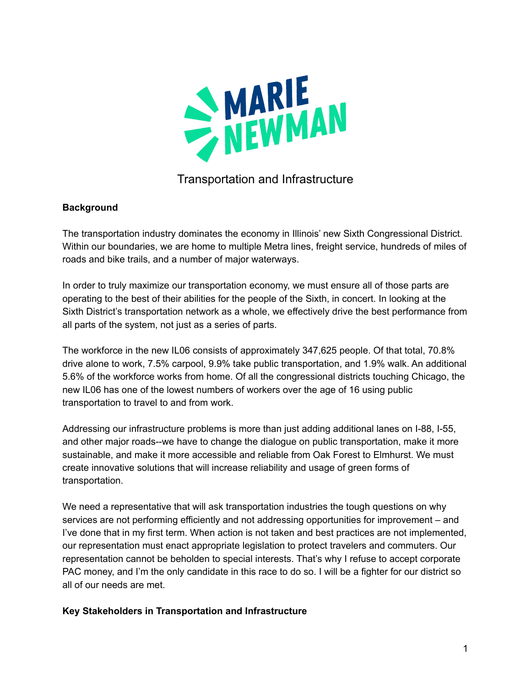

# Transportation and Infrastructure

### **Background**

The transportation industry dominates the economy in Illinois' new Sixth Congressional District. Within our boundaries, we are home to multiple Metra lines, freight service, hundreds of miles of roads and bike trails, and a number of major waterways.

In order to truly maximize our transportation economy, we must ensure all of those parts are operating to the best of their abilities for the people of the Sixth, in concert. In looking at the Sixth District's transportation network as a whole, we effectively drive the best performance from all parts of the system, not just as a series of parts.

The workforce in the new IL06 consists of approximately 347,625 people. Of that total, 70.8% drive alone to work, 7.5% carpool, 9.9% take public transportation, and 1.9% walk. An additional 5.6% of the workforce works from home. Of all the congressional districts touching Chicago, the new IL06 has one of the lowest numbers of workers over the age of 16 using public transportation to travel to and from work.

Addressing our infrastructure problems is more than just adding additional lanes on I-88, I-55, and other major roads--we have to change the dialogue on public transportation, make it more sustainable, and make it more accessible and reliable from Oak Forest to Elmhurst. We must create innovative solutions that will increase reliability and usage of green forms of transportation.

We need a representative that will ask transportation industries the tough questions on why services are not performing efficiently and not addressing opportunities for improvement – and I've done that in my first term. When action is not taken and best practices are not implemented, our representation must enact appropriate legislation to protect travelers and commuters. Our representation cannot be beholden to special interests. That's why I refuse to accept corporate PAC money, and I'm the only candidate in this race to do so. I will be a fighter for our district so all of our needs are met.

### **Key Stakeholders in Transportation and Infrastructure**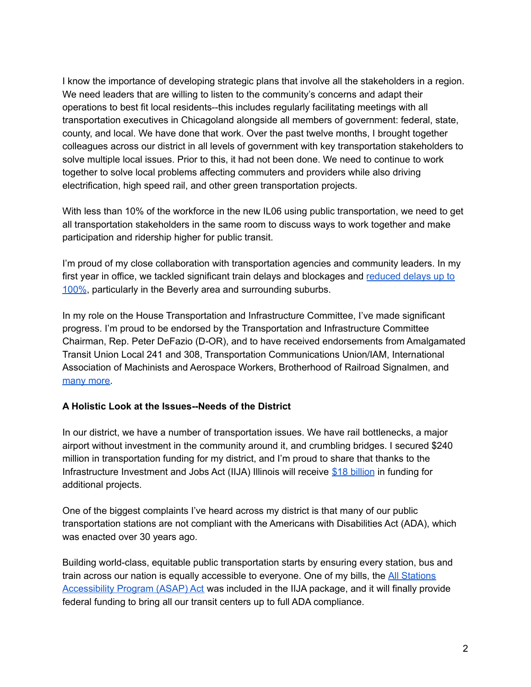I know the importance of developing strategic plans that involve all the stakeholders in a region. We need leaders that are willing to listen to the community's concerns and adapt their operations to best fit local residents--this includes regularly facilitating meetings with all transportation executives in Chicagoland alongside all members of government: federal, state, county, and local. We have done that work. Over the past twelve months, I brought together colleagues across our district in all levels of government with key transportation stakeholders to solve multiple local issues. Prior to this, it had not been done. We need to continue to work together to solve local problems affecting commuters and providers while also driving electrification, high speed rail, and other green transportation projects.

With less than 10% of the workforce in the new IL06 using public transportation, we need to get all transportation stakeholders in the same room to discuss ways to work together and make participation and ridership higher for public transit.

I'm proud of my close collaboration with transportation agencies and community leaders. In my first year in office, we tackled significant train delays and blockages and [reduced](https://www.fox32chicago.com/news/chicago-residents-no-longer-waiting-hours-for-passing-freight-trains) delays up to [100%](https://www.fox32chicago.com/news/chicago-residents-no-longer-waiting-hours-for-passing-freight-trains), particularly in the Beverly area and surrounding suburbs.

In my role on the House Transportation and Infrastructure Committee, I've made significant progress. I'm proud to be endorsed by the Transportation and Infrastructure Committee Chairman, Rep. Peter DeFazio (D-OR), and to have received endorsements from Amalgamated Transit Union Local 241 and 308, Transportation Communications Union/IAM, International Association of Machinists and Aerospace Workers, Brotherhood of Railroad Signalmen, and [many](https://marienewmanforcongress.com/endorsements/) more.

### **A Holistic Look at the Issues--Needs of the District**

In our district, we have a number of transportation issues. We have rail bottlenecks, a major airport without investment in the community around it, and crumbling bridges. I secured \$240 million in transportation funding for my district, and I'm proud to share that thanks to the Infrastructure Investment and Jobs Act (IIJA) Illinois will receive \$18 [billion](https://www.wbez.org/stories/illinois-18-billion-for-infrastructure-plans/0e5ca21f-9991-4a29-8349-85a5f7b85bdb) in funding for additional projects.

One of the biggest complaints I've heard across my district is that many of our public transportation stations are not compliant with the Americans with Disabilities Act (ADA), which was enacted over 30 years ago.

Building world-class, equitable public transportation starts by ensuring every station, bus and train across our nation is equally accessible to everyone. One of my bills, the All [Stations](https://suburbanchicagoland.com/2021/05/18/congress-members-newman-and-garcia-introduce-bill-to-make-public-transit-more-accessible/) [Accessibility](https://suburbanchicagoland.com/2021/05/18/congress-members-newman-and-garcia-introduce-bill-to-make-public-transit-more-accessible/) Program (ASAP) Act was included in the IIJA package, and it will finally provide federal funding to bring all our transit centers up to full ADA compliance.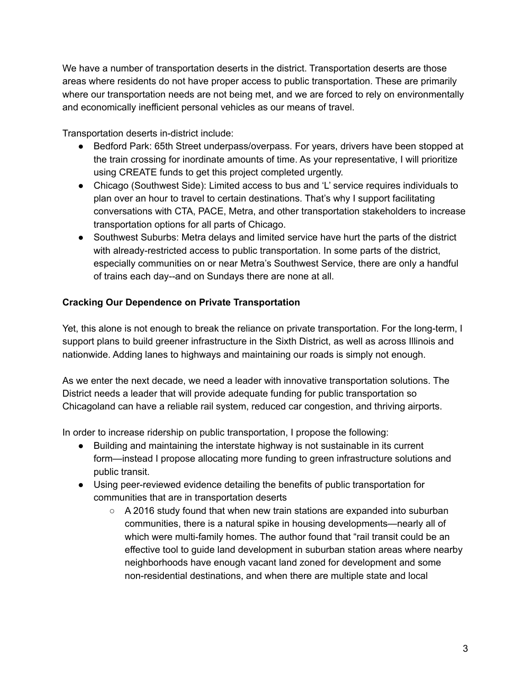We have a number of transportation deserts in the district. Transportation deserts are those areas where residents do not have proper access to public transportation. These are primarily where our transportation needs are not being met, and we are forced to rely on environmentally and economically inefficient personal vehicles as our means of travel.

Transportation deserts in-district include:

- Bedford Park: 65th Street underpass/overpass. For years, drivers have been stopped at the train crossing for inordinate amounts of time. As your representative, I will prioritize using CREATE funds to get this project completed urgently.
- Chicago (Southwest Side): Limited access to bus and 'L' service requires individuals to plan over an hour to travel to certain destinations. That's why I support facilitating conversations with CTA, PACE, Metra, and other transportation stakeholders to increase transportation options for all parts of Chicago.
- Southwest Suburbs: Metra delays and limited service have hurt the parts of the district with already-restricted access to public transportation. In some parts of the district, especially communities on or near Metra's Southwest Service, there are only a handful of trains each day--and on Sundays there are none at all.

## **Cracking Our Dependence on Private Transportation**

Yet, this alone is not enough to break the reliance on private transportation. For the long-term, I support plans to build greener infrastructure in the Sixth District, as well as across Illinois and nationwide. Adding lanes to highways and maintaining our roads is simply not enough.

As we enter the next decade, we need a leader with innovative transportation solutions. The District needs a leader that will provide adequate funding for public transportation so Chicagoland can have a reliable rail system, reduced car congestion, and thriving airports.

In order to increase ridership on public transportation, I propose the following:

- Building and maintaining the interstate highway is not sustainable in its current form—instead I propose allocating more funding to green infrastructure solutions and public transit.
- Using peer-reviewed evidence detailing the benefits of public transportation for communities that are in transportation deserts
	- $\circ$  A 2016 study found that when new train stations are expanded into suburban communities, there is a natural spike in housing developments—nearly all of which were multi-family homes. The author found that "rail transit could be an effective tool to guide land development in suburban station areas where nearby neighborhoods have enough vacant land zoned for development and some non-residential destinations, and when there are multiple state and local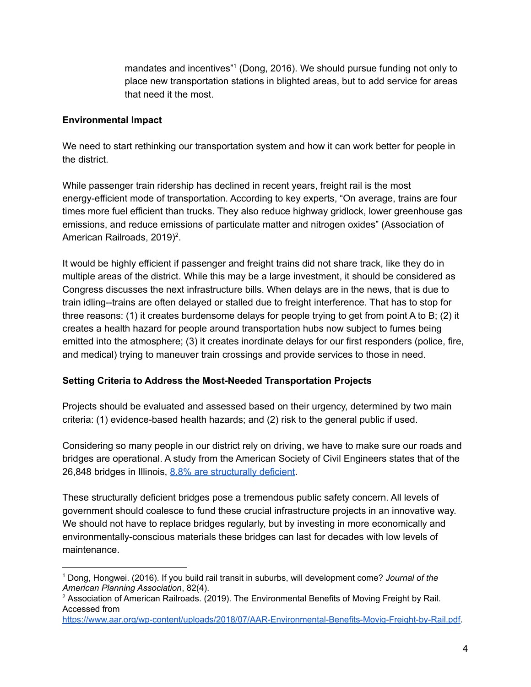mandates and incentives"<sup>1</sup> (Dong, 2016). We should pursue funding not only to place new transportation stations in blighted areas, but to add service for areas that need it the most.

### **Environmental Impact**

We need to start rethinking our transportation system and how it can work better for people in the district.

While passenger train ridership has declined in recent years, freight rail is the most energy-efficient mode of transportation. According to key experts, "On average, trains are four times more fuel efficient than trucks. They also reduce highway gridlock, lower greenhouse gas emissions, and reduce emissions of particulate matter and nitrogen oxides" (Association of American Railroads, 2019)<sup>2</sup>.

It would be highly efficient if passenger and freight trains did not share track, like they do in multiple areas of the district. While this may be a large investment, it should be considered as Congress discusses the next infrastructure bills. When delays are in the news, that is due to train idling--trains are often delayed or stalled due to freight interference. That has to stop for three reasons: (1) it creates burdensome delays for people trying to get from point A to B; (2) it creates a health hazard for people around transportation hubs now subject to fumes being emitted into the atmosphere; (3) it creates inordinate delays for our first responders (police, fire, and medical) trying to maneuver train crossings and provide services to those in need.

### **Setting Criteria to Address the Most-Needed Transportation Projects**

Projects should be evaluated and assessed based on their urgency, determined by two main criteria: (1) evidence-based health hazards; and (2) risk to the general public if used.

Considering so many people in our district rely on driving, we have to make sure our roads and bridges are operational. A study from the American Society of Civil Engineers states that of the 26,848 bridges in Illinois, 8.8% are [structurally](https://wgntv.com/news/illinois-has-3rd-most-structurally-deficient-bridges-in-u-s/) deficient.

These structurally deficient bridges pose a tremendous public safety concern. All levels of government should coalesce to fund these crucial infrastructure projects in an innovative way. We should not have to replace bridges regularly, but by investing in more economically and environmentally-conscious materials these bridges can last for decades with low levels of maintenance.

<sup>1</sup> Dong, Hongwei. (2016). If you build rail transit in suburbs, will development come? *Journal of the American Planning Association*, 82(4).

<sup>&</sup>lt;sup>2</sup> Association of American Railroads. (2019). The Environmental Benefits of Moving Freight by Rail. Accessed from

[https://www.aar.org/wp-content/uploads/2018/07/AAR-Environmental-Benefits-Movig-Freight-by-Rail.pdf.](https://www.aar.org/wp-content/uploads/2018/07/AAR-Environmental-Benefits-Movig-Freight-by-Rail.pdf)